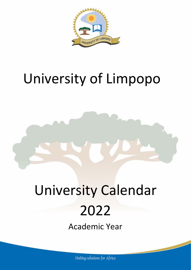

## University of Limpopo

# University Calendar 2022

Academic Year

Finding solutions for Africa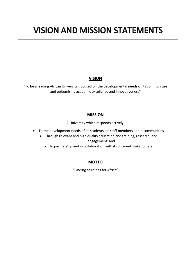## **VISION AND MISSION STATEMENTS**

#### **VISION**

"To be a leading African University, focused on the developmental needs of its communities and epitomising academic excellence and innovativeness"

#### **MISSION**

A University which responds actively:

- To the development needs of its students, its staff members and it communities
	- Through relevant and high quality education and training, research, and engagement: and
		- In partnership and in collaboration with its different stakeholders

#### **MOTTO**

"Finding solutions for Africa"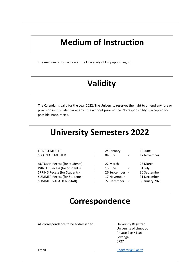## **Medium of Instruction**

The medium of instruction at the University of Limpopo is English

## **Validity**

The Calendar is valid for the year 2022. The University reserves the right to amend any rule or provision in this Calendar at any time without prior notice. No responsibility is accepted for possible inaccuracies.

## **University Semesters 2022**

| <b>FIRST SEMESTER</b>               | :                    | 24 January   | $\overline{\phantom{a}}$ | 10 June        |
|-------------------------------------|----------------------|--------------|--------------------------|----------------|
| <b>SECOND SEMESTER</b>              | $\ddot{\phantom{a}}$ | 04 July      | $\overline{\phantom{0}}$ | 17 November    |
|                                     |                      |              |                          |                |
| <b>AUTUMN Recess (for students)</b> |                      | 22 March     | $\overline{\phantom{a}}$ | 25 March       |
| <b>WINTER Recess (for Students)</b> | ٠                    | 13 June      | $\overline{\phantom{a}}$ | 01 July        |
| <b>SPRING Recess (for Students)</b> | $\ddot{\cdot}$       | 26 September |                          | 30 September   |
| <b>SUMMER Recess (for Students)</b> | ٠                    | 17 November  |                          | 31 December    |
| <b>SUMMER VACATION (Staff)</b>      | $\ddot{\cdot}$       | 22 December  |                          | 6 January 2023 |
|                                     |                      |              |                          |                |

### **Correspondence**

All correspondence to be addressed to: University Registrar

University of Limpopo Private Bag X1106 Sovenga 0727

Email in the contract of the contract of the [Registrar@ul.ac.za](mailto:Registrar@ul.ac.za)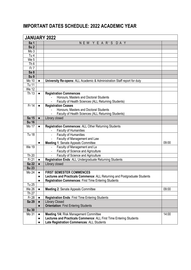### **IMPORTANT DATES SCHEDULE: 2022 ACADEMIC YEAR**

| <b>JANUARY 2022</b> |           |                                                                                      |       |  |
|---------------------|-----------|--------------------------------------------------------------------------------------|-------|--|
| Sa 1                |           | NEW YEAR'S DAY                                                                       |       |  |
| Su <sub>2</sub>     |           |                                                                                      |       |  |
| Mo3                 |           |                                                                                      |       |  |
| Tu 4                |           |                                                                                      |       |  |
| We 5                |           |                                                                                      |       |  |
| Th6                 |           |                                                                                      |       |  |
| Fr <sub>7</sub>     |           |                                                                                      |       |  |
| Sa <sub>8</sub>     |           |                                                                                      |       |  |
| Su <sub>9</sub>     |           |                                                                                      |       |  |
| Mo 10               | $\bullet$ | University Re-opens: ALL Academic & Administration Staff report for duty             |       |  |
| Tu 11               |           |                                                                                      |       |  |
| <b>We 12</b>        |           |                                                                                      |       |  |
| Th 13               | $\bullet$ | <b>Registration Commences</b>                                                        |       |  |
|                     |           | Honours, Masters and Doctoral Students                                               |       |  |
|                     |           | Faculty of Health Sciences (ALL Returning Students)                                  |       |  |
| $Fr$ 14             | $\bullet$ | <b>Registration Ceases</b>                                                           |       |  |
|                     |           | Honours, Masters and Doctoral Students                                               |       |  |
|                     |           | Faculty of Health Sciences (ALL Returning Students)                                  |       |  |
| Sa 15               | $\bullet$ | Library closed                                                                       |       |  |
| <b>Su 16</b>        |           |                                                                                      |       |  |
| Mo 17               | $\bullet$ | Registration Commences: ALL Other Returning Students<br><b>Faculty of Humanities</b> |       |  |
| <b>Tu 18</b>        |           | <b>Faculty of Humanities</b>                                                         |       |  |
|                     |           | Faculty of Management and Law                                                        |       |  |
|                     | $\bullet$ | Meeting 1: Senate Appeals Committee                                                  | 09:00 |  |
| <b>We 19</b>        |           | Faculty of Management and La                                                         |       |  |
|                     |           | Faculty of Science and Agriculture                                                   |       |  |
| Th 20               |           | Faculty of Science and Agriculture                                                   |       |  |
| Fr 21               | $\bullet$ | Registration Ends: ALL Undergraduate Returning Students                              |       |  |
| <b>Sa 22</b>        | $\bullet$ | Library closed                                                                       |       |  |
| <b>Su 23</b>        |           |                                                                                      |       |  |
| Mo 24               | $\bullet$ | <b>FIRST SEMESTER COMMENCES</b>                                                      |       |  |
|                     |           | Lectures and Practicals Commence: ALL Returning and Postgraduate Students            |       |  |
|                     | $\bullet$ | Registration Commences: First Time Entering Students                                 |       |  |
| Tu 25               |           |                                                                                      |       |  |
| We 26               | $\bullet$ | Meeting 2: Senate Appeals Committee                                                  | 09:00 |  |
| Th 27               |           |                                                                                      |       |  |
| Fr 28               | $\bullet$ | <b>Registration Ends: First Time Entering Students</b>                               |       |  |
| <b>Sa 29</b>        | $\bullet$ | <b>Library Closed</b>                                                                |       |  |
|                     | $\bullet$ | <b>Orientation: First Entering Students</b>                                          |       |  |
| <b>Su 30</b>        |           |                                                                                      |       |  |
| Mo 31               | $\bullet$ | Meeting 1/4: Risk Management Committee                                               | 14:00 |  |
|                     | $\bullet$ | Lectures and Practicals Commence: ALL First Time Entering Students                   |       |  |
|                     | $\bullet$ | Late Registration Commences: ALL Students                                            |       |  |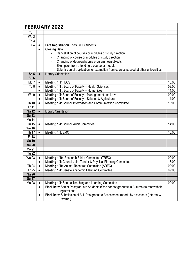|                 |                        | <b>FEBRUARY 2022</b>                                                                                                                                                                                                                                   |       |
|-----------------|------------------------|--------------------------------------------------------------------------------------------------------------------------------------------------------------------------------------------------------------------------------------------------------|-------|
| Tu 1            |                        |                                                                                                                                                                                                                                                        |       |
| We 2            |                        |                                                                                                                                                                                                                                                        |       |
| Th <sub>3</sub> |                        |                                                                                                                                                                                                                                                        |       |
| Fr <sub>4</sub> | $\bullet$<br>$\bullet$ | Late Registration Ends: ALL Students<br><b>Closing Date</b><br>Cancellation of courses or modules or study direction<br>$\overline{\phantom{0}}$<br>Changing of course or modules or study direction<br>Changing of degree/diploma programmes/subjects |       |
|                 |                        | Exemption from attending a course or module<br>Submission of application for exemption from courses passed at other universities                                                                                                                       |       |
| Sa <sub>5</sub> | $\bullet$              | <b>Library Orientation</b>                                                                                                                                                                                                                             |       |
| Su <sub>6</sub> |                        |                                                                                                                                                                                                                                                        |       |
| Mo 7            | $\bullet$              | Meeting 1/11: ECS                                                                                                                                                                                                                                      | 10.00 |
| Tu <sub>8</sub> | $\bullet$              | Meeting 1/4 : Board of Faculty - Health Sciences                                                                                                                                                                                                       | 09:00 |
|                 | $\bullet$              | Meeting 1/4 : Board of Faculty - Humanities                                                                                                                                                                                                            | 14:00 |
| We 9            | $\bullet$              | Meeting 1/4: Board of Faculty - Management and Law                                                                                                                                                                                                     | 09:00 |
|                 | $\bullet$              | Meeting 1/4: Board of Faculty - Science & Agriculture                                                                                                                                                                                                  | 14:00 |
| Th 10           | $\bullet$              | Meeting 1/4: Council Information and Communication Committee                                                                                                                                                                                           | 18:00 |
| Fr 11           |                        |                                                                                                                                                                                                                                                        |       |
| Sa 12           | $\bullet$              | <b>Library Orientation</b>                                                                                                                                                                                                                             |       |
| <b>Su 13</b>    |                        |                                                                                                                                                                                                                                                        |       |
| Mo 14           |                        |                                                                                                                                                                                                                                                        |       |
| Tu 15           | $\bullet$              | Meeting 1/4: Council Audit Committee                                                                                                                                                                                                                   | 14:00 |
| <b>We 16</b>    |                        |                                                                                                                                                                                                                                                        |       |
| Th 17           | $\bullet$              | Meeting 1/8: EMC                                                                                                                                                                                                                                       | 10:00 |
| Fr 18           |                        |                                                                                                                                                                                                                                                        |       |
| Sa 19           |                        |                                                                                                                                                                                                                                                        |       |
| <b>Su 20</b>    |                        |                                                                                                                                                                                                                                                        |       |
| Mo 21           |                        |                                                                                                                                                                                                                                                        |       |
| <b>Tu 22</b>    |                        |                                                                                                                                                                                                                                                        |       |
| <b>We 23</b>    | $\bullet$              | Meeting 1/10: Research Ethics Committee (TREC)                                                                                                                                                                                                         | 09:00 |
|                 |                        | Meeting 1/4: Council Joint Tender & Physical Planning Committee                                                                                                                                                                                        | 18:00 |
| Th 24           | $\bullet$              | Meeting 1/10: Animal Research Committee (AREC)                                                                                                                                                                                                         | 09:00 |
| Fr 25           | $\bullet$              | Meeting 1/4: Senate Academic Planning Committee                                                                                                                                                                                                        | 09:00 |
| Sa 26           |                        |                                                                                                                                                                                                                                                        |       |
| <b>Su 27</b>    |                        |                                                                                                                                                                                                                                                        |       |
| Mo 28           | $\bullet$              | Meeting 1/4: Senate Teaching and Learning Committee                                                                                                                                                                                                    | 09:00 |
|                 | $\bullet$              | Final Date: Senior Postgraduate Students (Who cannot graduate in Autumn) to renew their<br>registrations                                                                                                                                               |       |
|                 |                        | Final Date: Submission of ALL Postgraduate Assessment reports by assessors (Internal &<br>External).                                                                                                                                                   |       |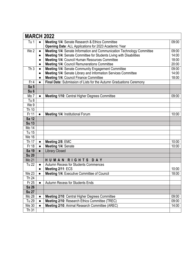|                       | <b>MARCH 2022</b> |                                                                        |       |  |  |
|-----------------------|-------------------|------------------------------------------------------------------------|-------|--|--|
| Tu 1                  |                   | Meeting 1/4: Senate Research & Ethics Committee                        | 09:00 |  |  |
|                       |                   | Opening Date: ALL Applications for 2023 Academic Year                  |       |  |  |
| We 2                  | $\bullet$         | Meeting 1/4: Senate Information and Communication Technology Committee | 09:00 |  |  |
|                       | $\bullet$         | Meeting 1/4: Senate Committee for Students Living with Disabilities    | 14:00 |  |  |
|                       | $\bullet$         | Meeting 1/4: Council Human Resources Committee                         | 18:00 |  |  |
|                       | $\bullet$         | Meeting 1/4: Council Remunerations Committee                           | 20:00 |  |  |
| Th <sub>3</sub>       |                   | Meeting 1/4: Senate Community Engagement Committee                     | 09:00 |  |  |
|                       |                   | Meeting 1/4: Senate Library and Information Services Committee         | 14:00 |  |  |
|                       | $\bullet$         | Meeting 1/4: Council Finance Committee                                 | 18:00 |  |  |
| Fr <sub>4</sub>       | $\bullet$         | Final Date: Submission of Lists for the Autumn Graduations Ceremony    |       |  |  |
| Sa <sub>5</sub>       |                   |                                                                        |       |  |  |
| Su <sub>6</sub>       |                   |                                                                        |       |  |  |
| Mo 7                  | $\bullet$         | Meeting 1/10: Central Higher Degrees Committee                         | 09:00 |  |  |
| Tu <sub>8</sub>       |                   |                                                                        |       |  |  |
| We 9                  |                   |                                                                        |       |  |  |
| Th 10                 |                   |                                                                        |       |  |  |
| Fr 11                 | $\bullet$         | Meeting 1/4: Institutional Forum                                       | 10:00 |  |  |
| <b>Sa 12</b>          |                   |                                                                        |       |  |  |
| <b>Su 13</b><br>Mo 14 |                   |                                                                        |       |  |  |
| Tu 15                 |                   |                                                                        |       |  |  |
| We 16                 |                   |                                                                        |       |  |  |
| Th 17                 | $\bullet$         | Meeting 2/8: EMC                                                       | 10:00 |  |  |
| Fr 18                 |                   | Meeting 1/4: Senate                                                    | 10:00 |  |  |
| Sa 19                 | $\bullet$         | <b>Library Closed</b>                                                  |       |  |  |
| <b>Su 20</b>          |                   |                                                                        |       |  |  |
| Mo 21                 |                   | HUMAN RIGHTS DAY                                                       |       |  |  |
| <b>Tu 22</b>          | $\bullet$         | Autumn Recess for Students Commences                                   |       |  |  |
|                       | $\bullet$         | Meeting 2/11: ECS                                                      | 10:00 |  |  |
| <b>We 23</b>          |                   | Meeting 1/4: Executive Committee of Council                            | 18:00 |  |  |
| Th 24                 |                   |                                                                        |       |  |  |
| Fr 25                 |                   | <b>Autumn Recess for Students Ends</b>                                 |       |  |  |
| <b>Sa 26</b>          |                   |                                                                        |       |  |  |
| <b>Su 27</b>          |                   |                                                                        |       |  |  |
| Mo 28                 |                   | Meeting 2/10: Central Higher Degrees Committee                         | 09:00 |  |  |
| Tu 29                 |                   | Meeting 2/10: Research Ethics Committee (TREC)                         | 09:00 |  |  |
| <b>We 30</b>          | $\bullet$         | Meeting 2/10: Animal Research Committee (AREC)                         | 14:00 |  |  |
| Th 31                 |                   |                                                                        |       |  |  |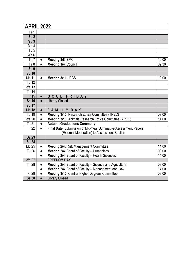|                   | <b>APRIL 2022</b> |                                                                                                               |       |  |  |
|-------------------|-------------------|---------------------------------------------------------------------------------------------------------------|-------|--|--|
| Fr <sub>1</sub>   |                   |                                                                                                               |       |  |  |
| Sa <sub>2</sub>   |                   |                                                                                                               |       |  |  |
| Su3               |                   |                                                                                                               |       |  |  |
| Mo 4              |                   |                                                                                                               |       |  |  |
| Tu <sub>5</sub>   |                   |                                                                                                               |       |  |  |
| We 6              |                   |                                                                                                               |       |  |  |
| Th $\overline{7}$ | $\bullet$         | Meeting 3/8: EMC                                                                                              | 10:00 |  |  |
| Fr 8              | $\bullet$         | Meeting 1/4: Council                                                                                          | 09:30 |  |  |
| Sa 9              |                   |                                                                                                               |       |  |  |
| <b>Su 10</b>      |                   |                                                                                                               |       |  |  |
| Mo 11             | $\bullet$         | Meeting 3/11: ECS                                                                                             | 10:00 |  |  |
| <b>Tu 12</b>      |                   |                                                                                                               |       |  |  |
| <b>We 13</b>      |                   |                                                                                                               |       |  |  |
| Th 14             |                   |                                                                                                               |       |  |  |
| Fr 15             | $\bullet$         | GOOD FRIDAY                                                                                                   |       |  |  |
| <b>Sa 16</b>      | $\bullet$         | <b>Library Closed</b>                                                                                         |       |  |  |
| <b>Su 17</b>      |                   |                                                                                                               |       |  |  |
| Mo 18             | $\bullet$         | <b>FAMILYDAY</b>                                                                                              |       |  |  |
| Tu 19             | $\bullet$         | Meeting 3/10: Research Ethics Committee (TREC)                                                                | 09:00 |  |  |
| We 20             | $\bullet$         | Meeting 3/10: Animals Research Ethics Committee (AREC)                                                        | 14:00 |  |  |
| Th $21$           | $\bullet$         | <b>Autumn Graduations Ceremony</b>                                                                            |       |  |  |
| Fr 22             |                   | Final Date: Submission of Mid-Year Summative Assessment Papers<br>(External Moderation) to Assessment Section |       |  |  |
| <b>Sa 23</b>      |                   |                                                                                                               |       |  |  |
| <b>Su 24</b>      |                   |                                                                                                               |       |  |  |
| Mo 25             | $\bullet$         | Meeting 2/4: Risk Management Committee                                                                        | 14:00 |  |  |
| <b>Tu 26</b>      | $\bullet$         | Meeting 2/4: Board of Faculty - Humanities                                                                    | 09:00 |  |  |
|                   | $\bullet$         | Meeting 2/4: Board of Faculty - Health Sciences                                                               | 14:00 |  |  |
| <b>We 27</b>      |                   | <b>FREEDOM DAY</b>                                                                                            |       |  |  |
| Th 28             | $\bullet$         | Meeting 2/4: Board of Faculty - Science and Agriculture                                                       | 09:00 |  |  |
|                   | $\bullet$         | Meeting 2/4: Board of Faculty - Management and Law                                                            | 14:00 |  |  |
| Fr 29             | $\bullet$         | Meeting 3/10: Central Higher Degrees Committee                                                                | 09:00 |  |  |
| <b>Sa 30</b>      | $\bullet$         | <b>Library Closed</b>                                                                                         |       |  |  |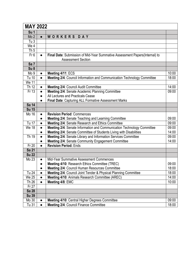| <b>MAY 2022</b>  |           |                                                                                                          |       |  |
|------------------|-----------|----------------------------------------------------------------------------------------------------------|-------|--|
| Su <sub>1</sub>  |           |                                                                                                          |       |  |
| Mo <sub>2</sub>  | $\bullet$ | WORKERS DAY                                                                                              |       |  |
| Tu $3$           |           |                                                                                                          |       |  |
| We 4             |           |                                                                                                          |       |  |
| Th <sub>5</sub>  |           |                                                                                                          |       |  |
| Fr <sub>6</sub>  | $\bullet$ | Final Date: Submission of Mid-Year Summative Assessment Papers(Internal) to<br><b>Assessment Section</b> |       |  |
| Sa <sub>7</sub>  |           |                                                                                                          |       |  |
| Su <sub>8</sub>  |           |                                                                                                          |       |  |
| Mo <sub>9</sub>  | $\bullet$ | Meeting 4/11: ECS                                                                                        | 10:00 |  |
| Tu 10            | $\bullet$ | Meeting 2/4: Council Information and Communication Technology Committee                                  | 18:00 |  |
| We 11            |           |                                                                                                          |       |  |
| Th 12            |           | Meeting 2/4: Council Audit Committee                                                                     | 14:00 |  |
| Fr <sub>13</sub> | $\bullet$ | Meeting 2/4: Senate Academic Planning Committee                                                          | 09:00 |  |
|                  |           | All Lectures and Practicals Cease                                                                        |       |  |
|                  |           | Final Date: Capturing ALL Formative Assessment Marks                                                     |       |  |
| <b>Sa 14</b>     |           |                                                                                                          |       |  |
| <b>Su 15</b>     |           |                                                                                                          |       |  |
| Mo 16            |           | <b>Revision Period: Commences</b>                                                                        |       |  |
|                  | $\bullet$ | Meeting 2/4: Senate Teaching and Learning Committee                                                      | 09:00 |  |
| <b>Tu 17</b>     | $\bullet$ | Meeting 2/4: Senate Research and Ethics Committee                                                        | 09:00 |  |
| <b>We 18</b>     |           | Meeting 2/4: Senate Information and Communication Technology Committee                                   | 09:00 |  |
|                  | $\bullet$ | Meeting 2/4: Senate Committee of Students Living with Disabilities                                       | 14:00 |  |
| Th 19            | $\bullet$ | Meeting 2/4: Senate Library and Information Services Committee                                           | 09:00 |  |
|                  |           | Meeting 2/4: Senate Community Engagement Committee                                                       | 14:00 |  |
| Fr 20            | $\bullet$ | <b>Revision Period: Ends</b>                                                                             |       |  |
| <b>Sa 21</b>     |           |                                                                                                          |       |  |
| <b>Su 22</b>     |           |                                                                                                          |       |  |
| Mo 23            | $\bullet$ | Mid-Year Summative Assessment Commences                                                                  |       |  |
|                  |           | Meeting 4/10: Research Ethics Committee (TREC)                                                           | 09:00 |  |
|                  | $\bullet$ | <b>Meeting 2/4: Council Human Resources Committee</b>                                                    | 18:00 |  |
| Tu 24            | $\bullet$ | Meeting 2/4: Council Joint Tender & Physical Planning Committee                                          | 18:00 |  |
| We 25            | $\bullet$ | Meeting 4/10: Animals Research Committee (AREC)                                                          | 14:00 |  |
| Th 26            | $\bullet$ | Meeting 4/8: EMC                                                                                         | 10:00 |  |
| Fr 27            |           |                                                                                                          |       |  |
| <b>Sa 28</b>     |           |                                                                                                          |       |  |
| <b>Su 39</b>     |           |                                                                                                          |       |  |
| Mo 30            |           | <b>Meeting 4/10: Central Higher Degrees Committee</b>                                                    | 09:00 |  |
| Tu 31            | $\bullet$ | Meeting 2/4: Council Finance Committee                                                                   | 18:00 |  |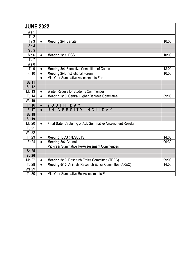| <b>JUNE 2022</b> |           |                                                           |       |  |
|------------------|-----------|-----------------------------------------------------------|-------|--|
| We 1             |           |                                                           |       |  |
| Th <sub>2</sub>  |           |                                                           |       |  |
| Fr <sub>3</sub>  | $\bullet$ | Meeting 2/4: Senate                                       | 10:00 |  |
| Sa 4             |           |                                                           |       |  |
| Su <sub>5</sub>  |           |                                                           |       |  |
| Mo <sub>6</sub>  | $\bullet$ | Meeting 5/11: ECS                                         | 10:00 |  |
| Tu $7$           |           |                                                           |       |  |
| We 8             |           |                                                           |       |  |
| Th <sub>9</sub>  | $\bullet$ | Meeting 2/4: Executive Committee of Council               | 18:00 |  |
| Fr 10            | $\bullet$ | Meeting 2/4: Institutional Forum                          | 10:00 |  |
|                  | $\bullet$ | Mid-Year Summative Assessments End                        |       |  |
| Sa 11            |           |                                                           |       |  |
| <b>Su 12</b>     |           |                                                           |       |  |
| Mo 13            | $\bullet$ | <b>Winter Recess for Students Commences</b>               |       |  |
| Tu 14            | $\bullet$ | Meeting 5/10: Central Higher Degrees Committee            | 09:00 |  |
| <b>We 15</b>     |           |                                                           |       |  |
| <b>Th 16</b>     | $\bullet$ | YOUTH<br>DAY                                              |       |  |
| Fr 17            | $\bullet$ | UNIVERSITY<br>HOLIDAY                                     |       |  |
| <b>Sa 18</b>     |           |                                                           |       |  |
| <b>Su 19</b>     |           |                                                           |       |  |
| Mo 20            | $\bullet$ | Final Date: Capturing of ALL Summative Assessment Results |       |  |
| Tu 21            |           |                                                           |       |  |
| We 22            |           |                                                           |       |  |
| Th 23            | $\bullet$ | Meeting: ECS (RESULTS)                                    | 14:00 |  |
| Fr 24            | $\bullet$ | Meeting 2/4: Council                                      | 09:30 |  |
|                  |           | Mid-Year Summative Re-Assessment Commences                |       |  |
| Sa 25            |           |                                                           |       |  |
| <b>Su 26</b>     |           |                                                           |       |  |
| Mo 27            | $\bullet$ | Meeting 5/10: Research Ethics Committee (TREC)            | 09:00 |  |
| <b>Tu 28</b>     | $\bullet$ | Meeting 5/10: Animals Research Ethics Committee (AREC)    | 14:00 |  |
| <b>We 29</b>     |           |                                                           |       |  |
| Th 30            | $\bullet$ | Mid-Year Summative Re-Assessments End                     |       |  |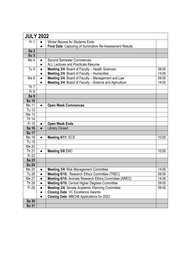| <b>JULY 2022</b> |           |                                                          |       |
|------------------|-----------|----------------------------------------------------------|-------|
| Fr <sub>1</sub>  |           | <b>Winter Recess for Students Ends</b>                   |       |
|                  | $\bullet$ | Final Date: Capturing of Summative Re-Assessment Results |       |
| Sa <sub>2</sub>  |           |                                                          |       |
| Su3              |           |                                                          |       |
| Mo 4             | $\bullet$ | <b>Second Semester Commences</b>                         |       |
|                  | $\bullet$ | <b>ALL Lectures and Practicals Resume</b>                |       |
| Tu <sub>5</sub>  | $\bullet$ | Meeting 3/4: Board of Faculty - Health Sciences          | 09:00 |
|                  | $\bullet$ | Meeting 3/4: Board of Faculty - Humanities               | 14:00 |
| We 6             | $\bullet$ | Meeting 3/4: Board of Faculty - Management and Law       | 09:00 |
|                  | $\bullet$ | Meeting 3/4: Board of Faculty - Science and Agriculture  | 14:00 |
| Th <sub>7</sub>  |           |                                                          |       |
| Fr 8             |           |                                                          |       |
| Sa 9             |           |                                                          |       |
| <b>Su 10</b>     |           |                                                          |       |
| Mo $11$          | $\bullet$ | <b>Open Week Commences</b>                               |       |
| Tu 12            |           |                                                          |       |
| <b>We 13</b>     |           |                                                          |       |
| Th 14            |           |                                                          |       |
| Fr 15            | $\bullet$ | <b>Open Week Ends</b>                                    |       |
| <b>Sa 16</b>     | $\bullet$ | <b>Library Closed</b>                                    |       |
| <b>Su 17</b>     |           |                                                          |       |
| Mo 18            | $\bullet$ | Meeting 6/11: ECS                                        | 10:00 |
| Tu 19            |           |                                                          |       |
| <b>We 20</b>     |           |                                                          |       |
| Th 21            | $\bullet$ | Meeting 5/8 EMC                                          | 10:00 |
| Fr 22            |           |                                                          |       |
| Sa 23            |           |                                                          |       |
| <b>Su 24</b>     |           |                                                          |       |
| Mo 25            | $\bullet$ | <b>Meeting 3/4: Risk Management Committee</b>            | 14:00 |
| Tu 26            | $\bullet$ | Meeting 6/10: Research Ethics Committee (TREC)           | 09:00 |
| We 27            | $\bullet$ | Meeting 6/10: Animals Research Ethics Committee (AREC)   | 14:00 |
| Th 28            | $\bullet$ | Meeting 6/10: Central Higher Degrees Committee           | 09:00 |
| Fr 29            | $\bullet$ | Meeting 3/4: Senate Academic Planning Committee          | 09:00 |
|                  |           | <b>Closing Date: VC Excellence Awards</b>                |       |
|                  |           | Closing Date: MBChB Applications for 2023                |       |
| Sa 30            |           |                                                          |       |
| <b>Su 31</b>     |           |                                                          |       |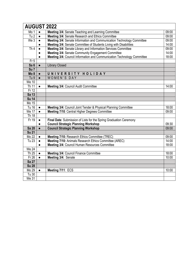| <b>AUGUST 2022</b> |           |                                                                         |       |  |  |
|--------------------|-----------|-------------------------------------------------------------------------|-------|--|--|
| Mo 1               | $\bullet$ | Meeting 3/4: Senate Teaching and Learning Committee                     | 09:00 |  |  |
| Tu2                | $\bullet$ | Meeting 3/4: Senate Research and Ethics Committee                       | 09:00 |  |  |
| We 3               | $\bullet$ | Meeting 3/4: Senate Information and Communication Technology Committee  | 09:00 |  |  |
|                    |           | Meeting 3/4: Senate Committee of Students Living with Disabilities      | 14:00 |  |  |
| Th4                | $\bullet$ | Meeting 3/4: Senate Library and Information Services Committee          | 09:00 |  |  |
|                    | $\bullet$ | Meeting 3/4: Senate Community Engagement Committee                      | 14:00 |  |  |
|                    | $\bullet$ | Meeting 3/4: Council Information and Communication Technology Committee | 18:00 |  |  |
| Fr <sub>5</sub>    |           |                                                                         |       |  |  |
| Sa <sub>6</sub>    | $\bullet$ | <b>Library Closed</b>                                                   |       |  |  |
| Su <sub>7</sub>    |           |                                                                         |       |  |  |
| Mo <sub>8</sub>    | $\bullet$ | UNIVERSITY HOLIDAY                                                      |       |  |  |
| Tu <sub>9</sub>    | $\bullet$ | WOMEN'S DAY                                                             |       |  |  |
| <b>We 10</b>       |           |                                                                         |       |  |  |
| Th $11$            | $\bullet$ | Meeting 3/4: Council Audit Committee                                    | 14:00 |  |  |
| Fr 12              |           |                                                                         |       |  |  |
| Sa 13              |           |                                                                         |       |  |  |
| <b>Su 14</b>       |           |                                                                         |       |  |  |
| Mo 15              |           |                                                                         |       |  |  |
| Tu 16              | $\bullet$ | Meeting 3/4: Council Joint Tender & Physical Planning Committee         | 18:00 |  |  |
| <b>We 17</b>       | $\bullet$ | Meeting 7/10: Central Higher Degrees Committee                          | 09:00 |  |  |
| Th 18              |           |                                                                         |       |  |  |
| Fr 19              | $\bullet$ | Final Date: Submission of Lists for the Spring Graduation Ceremony      |       |  |  |
|                    | $\bullet$ | <b>Council Strategic Planning Workshop</b>                              | 09:30 |  |  |
| <b>Sa 20</b>       | $\bullet$ | <b>Council Strategic Planning Workshop</b>                              | 09:00 |  |  |
| <b>Su 21</b>       |           |                                                                         |       |  |  |
| Mo 22              | $\bullet$ | Meeting 7/10: Research Ethics Committee (TREC)                          | 09:00 |  |  |
| Tu 23              | $\bullet$ | Meeting 7/10: Animals Research Ethics Committee (AREC)                  | 14:00 |  |  |
|                    | $\bullet$ | Meeting 3/4: Council Human Resources Committee                          | 18:00 |  |  |
| <b>We 24</b>       |           |                                                                         |       |  |  |
| Th 25              | $\bullet$ | Meeting 3/4: Council Finance Committee                                  | 18:00 |  |  |
| Fr 26              | $\bullet$ | Meeting 3/4: Senate                                                     | 10:00 |  |  |
| Sa 27              |           |                                                                         |       |  |  |
| <b>Su 28</b>       |           |                                                                         |       |  |  |
| Mo 29              | $\bullet$ | Meeting 7/11: ECS                                                       | 10:00 |  |  |
| Tu 30              |           |                                                                         |       |  |  |
| <b>We 31</b>       |           |                                                                         |       |  |  |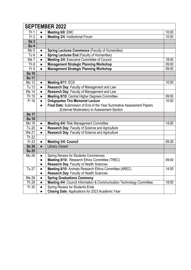| <b>SEPTEMBER 2022</b> |           |                                                                       |       |  |  |
|-----------------------|-----------|-----------------------------------------------------------------------|-------|--|--|
| Th 1                  | $\bullet$ | Meeting 6/8: EMC                                                      | 10:00 |  |  |
| Fr <sub>2</sub>       | $\bullet$ | Meeting 3/4: Institutional Forum                                      | 10:00 |  |  |
| Sa <sub>3</sub>       |           |                                                                       |       |  |  |
| Su <sub>4</sub>       |           |                                                                       |       |  |  |
| Mo <sub>5</sub>       | $\bullet$ | <b>Spring Lectures Commence (Faculty of Humanities)</b>               |       |  |  |
| Tu <sub>6</sub>       | $\bullet$ | <b>Spring Lectures End (Faculty of Humanities)</b>                    |       |  |  |
| We 7                  | $\bullet$ | Meeting 3/4: Executive Committee of Council                           | 18:00 |  |  |
| Th <sub>8</sub>       |           | <b>Management Strategic Planning Workshop</b>                         | 09:00 |  |  |
| Fr 9                  | $\bullet$ | <b>Management Strategic Planning Workshop</b>                         | 09:00 |  |  |
| <b>Sa 10</b>          |           |                                                                       |       |  |  |
| <b>Su 11</b>          |           |                                                                       |       |  |  |
| Mo 12                 | $\bullet$ | Meeting 8/11: ECS                                                     | 10:00 |  |  |
| Tu 13                 | $\bullet$ | Research Day: Faculty of Management and Law                           |       |  |  |
| We 14                 | $\bullet$ | Research Day: Faculty of Management and Law                           |       |  |  |
| Th 15                 | $\bullet$ | Meeting 8/10: Central Higher Degrees Committee                        | 09:00 |  |  |
| Fr 16                 |           | <b>Onkgopotse Tiro Memorial Lecture</b>                               | 10:00 |  |  |
|                       |           | Final Date: Submission of End of the Year Summative Assessment Papers |       |  |  |
|                       |           | (External Moderation) to Assessment Section                           |       |  |  |
| Sa 17                 |           |                                                                       |       |  |  |
| <b>Su 18</b>          |           |                                                                       |       |  |  |
| Mo 19                 | $\bullet$ | Meeting 4/4: Risk Management Committee                                | 14:00 |  |  |
| Tu 20                 | $\bullet$ | Research Day: Faculty of Science and Agriculture                      |       |  |  |
| <b>We 21</b>          | $\bullet$ | Research Day: Faculty of Science and Agriculture                      |       |  |  |
| Th 22                 |           |                                                                       |       |  |  |
| Fr 23                 | $\bullet$ | <b>Meeting 3/4: Council</b>                                           | 09:30 |  |  |
| Sa 24                 | $\bullet$ | <b>Library Closed</b>                                                 |       |  |  |
| <b>Su 25</b>          |           |                                                                       |       |  |  |
| Mo 26                 | $\bullet$ | <b>Spring Recess for Students Commences</b>                           |       |  |  |
|                       | $\bullet$ | Meeting 8/10: Research Ethics Committee (TREC)                        | 09:00 |  |  |
|                       |           | Research Day: Faculty of Health Sciences                              |       |  |  |
| Tu 27                 | $\bullet$ | Meeting 8/10: Animals Research Ethics Committee (AREC)                | 14:00 |  |  |
|                       | $\bullet$ | <b>Research Day: Faculty of Health Sciences</b>                       |       |  |  |
| <b>We 28</b>          | $\bullet$ | <b>Spring Graduations Ceremony</b>                                    |       |  |  |
| Th 29                 | $\bullet$ | Meeting 4/4: Council Information & Communication Technology Committee | 18:00 |  |  |
| Fr30                  |           | <b>Spring Recess for Students Ends</b>                                |       |  |  |
|                       |           | Closing Date: Applications for 2023 Academic Year                     |       |  |  |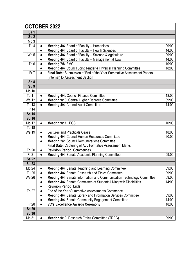| <b>OCTOBER 2022</b> |           |                                                                        |       |  |
|---------------------|-----------|------------------------------------------------------------------------|-------|--|
| Sa 1                |           |                                                                        |       |  |
| Su <sub>2</sub>     |           |                                                                        |       |  |
| Mo <sub>3</sub>     |           |                                                                        |       |  |
| Tu <sub>4</sub>     | $\bullet$ | Meeting 4/4: Board of Faculty - Humanities                             | 09:00 |  |
|                     | $\bullet$ | Meeting 4/4: Board of Faculty - Health Sciences                        | 14:00 |  |
| We 5                | $\bullet$ | Meeting 4/4: Board of Faculty - Science & Agriculture                  | 09:00 |  |
|                     |           | Meeting 4/4: Board of Faculty - Management & Law                       | 14:00 |  |
| Th6                 | $\bullet$ | Meeting 7/8: EMC                                                       | 10:00 |  |
|                     | $\bullet$ | Meeting 4/4: Council Joint Tender & Physical Planning Committee        | 18:00 |  |
| Fr7                 |           | Final Date: Submission of End of the Year Summative Assessment Papers  |       |  |
|                     |           | (Internal) to Assessment Section                                       |       |  |
| Sa <sub>8</sub>     |           |                                                                        |       |  |
| Su <sub>9</sub>     |           |                                                                        |       |  |
| Mo 10               |           |                                                                        |       |  |
| Tu 11               | $\bullet$ | Meeting 4/4: Council Finance Committee                                 | 18:00 |  |
| <b>We 12</b>        | $\bullet$ | Meeting 9/10: Central Higher Degrees Committee                         | 09:00 |  |
| Th 13               | $\bullet$ | Meeting 4/4: Council Audit Committee                                   | 14:00 |  |
| Fr 14               |           |                                                                        |       |  |
| <b>Sa 15</b>        |           |                                                                        |       |  |
| <b>Su 16</b>        |           |                                                                        |       |  |
| Mo 17               | $\bullet$ | Meeting 9/11: ECS                                                      | 10:00 |  |
| Tu 18               |           |                                                                        |       |  |
| We 19               | $\bullet$ | Lectures and Practicals Cease                                          | 18:00 |  |
|                     |           | Meeting 4/4: Council Human Resources Committee                         | 20:00 |  |
|                     |           | <b>Meeting 2/2: Council Remunerations Committee</b>                    |       |  |
|                     |           | Final Date: Capturing of ALL Formative Assessment Marks                |       |  |
| Th 20               |           | <b>Revision Period: Commences</b>                                      |       |  |
| Fr 21               | $\bullet$ | Meeting 4/4: Senate Academic Planning Committee                        | 09:00 |  |
| <b>Sa 22</b>        |           |                                                                        |       |  |
| <b>Su 23</b>        |           |                                                                        |       |  |
| Mo 24               | $\bullet$ | Meeting 4/4: Senate Teaching and Learning Committee                    | 09:00 |  |
| Tu 25               |           | Meeting 4/4: Senate Research and Ethics Committee                      | 09:00 |  |
| We 26               | $\bullet$ | Meeting 4/4: Senate Information and Communication Technology Committee | 09:00 |  |
|                     |           | Meeting 4/4: Senate Committee of Students Living with Disabilities     | 14:00 |  |
|                     | $\bullet$ | <b>Revision Period: Ends</b>                                           |       |  |
| Th 27               |           | End of the Year Summative Assessments Commence                         |       |  |
|                     |           | Meeting 4/4: Senate Library and Information Services Committee         | 09:00 |  |
|                     |           | Meeting 4/4: Senate Community Engagement Committee                     | 14:00 |  |
| Fr 28               | $\bullet$ | <b>VC's Excellence Awards Ceremony</b>                                 | 18:00 |  |
| Sa 29               |           |                                                                        |       |  |
| <b>Su 30</b>        |           |                                                                        |       |  |
| Mo 31               | $\bullet$ | Meeting 9/10: Research Ethics Committee (TREC)                         | 09:00 |  |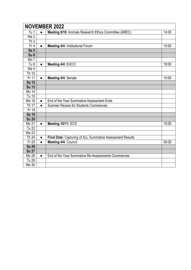| <b>NOVEMBER 2022</b> |           |                                                           |       |  |  |
|----------------------|-----------|-----------------------------------------------------------|-------|--|--|
| Tu 1                 | $\bullet$ | Meeting 9/10: Animals Research Ethics Committee (AREC)    | 14:00 |  |  |
| We 2                 |           |                                                           |       |  |  |
| Th <sub>3</sub>      |           |                                                           |       |  |  |
| Fr <sub>4</sub>      | $\bullet$ | Meeting 4/4: Institutional Forum                          | 10:00 |  |  |
| Sa <sub>5</sub>      |           |                                                           |       |  |  |
| Su <sub>6</sub>      |           |                                                           |       |  |  |
| Mo 7                 |           |                                                           |       |  |  |
| Tu <sub>8</sub>      | $\bullet$ | Meeting 4/4: EXCO                                         | 18:00 |  |  |
| We 9                 |           |                                                           |       |  |  |
| Th 10                |           |                                                           |       |  |  |
| Fr 11                | $\bullet$ | Meeting 4/4: Senate                                       | 10:00 |  |  |
| <b>Sa 12</b>         |           |                                                           |       |  |  |
| <b>Su 13</b>         |           |                                                           |       |  |  |
| Mo 14                |           |                                                           |       |  |  |
| Tu 15                |           |                                                           |       |  |  |
| <b>We 16</b>         | $\bullet$ | End of the Year Summative Assessment Ends                 |       |  |  |
| Th 17                | $\bullet$ | <b>Summer Recess for Students Commences</b>               |       |  |  |
| Fr 18                |           |                                                           |       |  |  |
| <b>Sa 19</b>         |           |                                                           |       |  |  |
| <b>Su 20</b>         |           |                                                           |       |  |  |
| Mo 21                | $\bullet$ | Meeting 10/11: ECS                                        | 10:00 |  |  |
| <b>Tu 22</b>         |           |                                                           |       |  |  |
| <b>We 23</b>         |           |                                                           |       |  |  |
| Th 24                | $\bullet$ | Final Date: Capturing of ALL Summative Assessment Results |       |  |  |
| Fr 25                | $\bullet$ | Meeting 4/4: Council                                      | 09:30 |  |  |
| <b>Sa 26</b>         |           |                                                           |       |  |  |
| <b>Su 27</b>         |           |                                                           |       |  |  |
| Mo 28                | $\bullet$ | End of the Year Summative Re-Assessments Commences        |       |  |  |
| Tu 29                |           |                                                           |       |  |  |
| <b>We 30</b>         |           |                                                           |       |  |  |